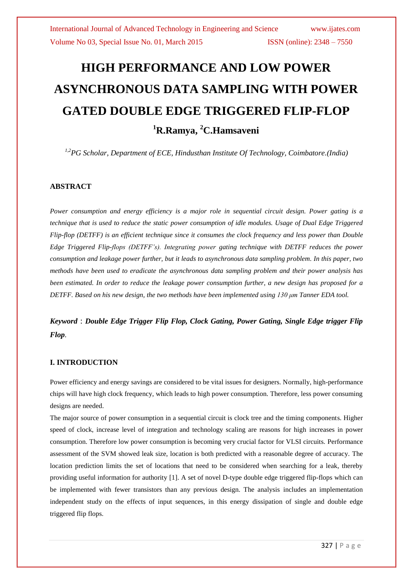# **HIGH PERFORMANCE AND LOW POWER ASYNCHRONOUS DATA SAMPLING WITH POWER GATED DOUBLE EDGE TRIGGERED FLIP-FLOP <sup>1</sup>R.Ramya, <sup>2</sup>C.Hamsaveni**

*1,2PG Scholar, Department of ECE, Hindusthan Institute Of Technology, Coimbatore.(India)*

### **ABSTRACT**

*Power consumption and energy efficiency is a major role in sequential circuit design. Power gating is a technique that is used to reduce the static power consumption of idle modules. Usage of Dual Edge Triggered Flip-flop (DETFF) is an efficient technique since it consumes the clock frequency and less power than Double Edge Triggered Flip-flops (DETFF's). Integrating power gating technique with DETFF reduces the power consumption and leakage power further, but it leads to asynchronous data sampling problem. In this paper, two methods have been used to eradicate the asynchronous data sampling problem and their power analysis has been estimated. In order to reduce the leakage power consumption further, a new design has proposed for a DETFF. Based on his new design, the two methods have been implemented using 130 μm Tanner EDA tool.*

*Keyword* : *Double Edge Trigger Flip Flop, Clock Gating, Power Gating, Single Edge trigger Flip Flop.*

### **I. INTRODUCTION**

Power efficiency and energy savings are considered to be vital issues for designers. Normally, high-performance chips will have high clock frequency, which leads to high power consumption. Therefore, less power consuming designs are needed.

The major source of power consumption in a sequential circuit is clock tree and the timing components. Higher speed of clock, increase level of integration and technology scaling are reasons for high increases in power consumption. Therefore low power consumption is becoming very crucial factor for VLSI circuits. Performance assessment of the SVM showed leak size, location is both predicted with a reasonable degree of accuracy. The location prediction limits the set of locations that need to be considered when searching for a leak, thereby providing useful information for authority [1]. A set of novel D-type double edge triggered flip-flops which can be implemented with fewer transistors than any previous design. The analysis includes an implementation independent study on the effects of input sequences, in this energy dissipation of single and double edge triggered flip flops.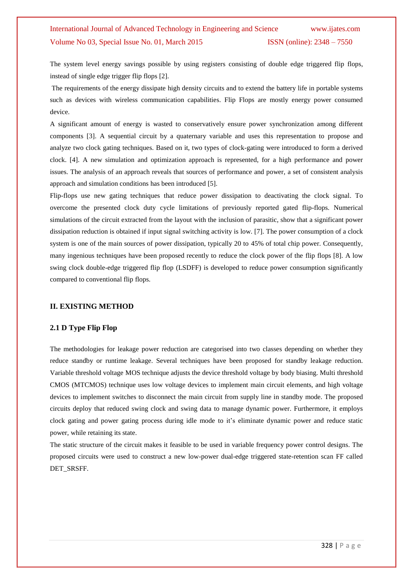The system level energy savings possible by using registers consisting of double edge triggered flip flops, instead of single edge trigger flip flops [2].

The requirements of the energy dissipate high density circuits and to extend the battery life in portable systems such as devices with wireless communication capabilities. Flip Flops are mostly energy power consumed device.

A significant amount of energy is wasted to conservatively ensure power synchronization among different components [3]. A sequential circuit by a quaternary variable and uses this representation to propose and analyze two clock gating techniques. Based on it, two types of clock-gating were introduced to form a derived clock. [4]. A new simulation and optimization approach is represented, for a high performance and power issues. The analysis of an approach reveals that sources of performance and power, a set of consistent analysis approach and simulation conditions has been introduced [5].

Flip-flops use new gating techniques that reduce power dissipation to deactivating the clock signal. To overcome the presented clock duty cycle limitations of previously reported gated flip-flops. Numerical simulations of the circuit extracted from the layout with the inclusion of parasitic, show that a significant power dissipation reduction is obtained if input signal switching activity is low. [7]. The power consumption of a clock system is one of the main sources of power dissipation, typically 20 to 45% of total chip power. Consequently, many ingenious techniques have been proposed recently to reduce the clock power of the flip flops [8]. A low swing clock double-edge triggered flip flop (LSDFF) is developed to reduce power consumption significantly compared to conventional flip flops.

### **II. EXISTING METHOD**

### **2.1 D Type Flip Flop**

The methodologies for leakage power reduction are categorised into two classes depending on whether they reduce standby or runtime leakage. Several techniques have been proposed for standby leakage reduction. Variable threshold voltage MOS technique adjusts the device threshold voltage by body biasing. Multi threshold CMOS (MTCMOS) technique uses low voltage devices to implement main circuit elements, and high voltage devices to implement switches to disconnect the main circuit from supply line in standby mode. The proposed circuits deploy that reduced swing clock and swing data to manage dynamic power. Furthermore, it employs clock gating and power gating process during idle mode to it's eliminate dynamic power and reduce static power, while retaining its state.

The static structure of the circuit makes it feasible to be used in variable frequency power control designs. The proposed circuits were used to construct a new low-power dual-edge triggered state-retention scan FF called DET\_SRSFF.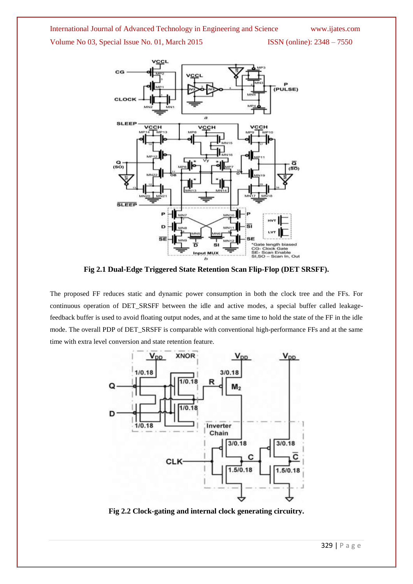

**Fig 2.1 Dual-Edge Triggered State Retention Scan Flip-Flop (DET SRSFF).**

The proposed FF reduces static and dynamic power consumption in both the clock tree and the FFs. For continuous operation of DET\_SRSFF between the idle and active modes, a special buffer called leakagefeedback buffer is used to avoid floating output nodes, and at the same time to hold the state of the FF in the idle mode. The overall PDP of DET\_SRSFF is comparable with conventional high-performance FFs and at the same time with extra level conversion and state retention feature.



**Fig 2.2 Clock-gating and internal clock generating circuitry.**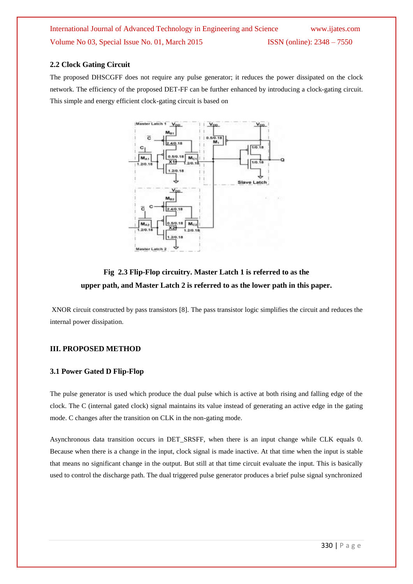### **2.2 Clock Gating Circuit**

The proposed DHSCGFF does not require any pulse generator; it reduces the power dissipated on the clock network. The efficiency of the proposed DET-FF can be further enhanced by introducing a clock-gating circuit. This simple and energy efficient clock-gating circuit is based on



### **Fig 2.3 Flip-Flop circuitry. Master Latch 1 is referred to as the upper path, and Master Latch 2 is referred to as the lower path in this paper.**

XNOR circuit constructed by pass transistors [8]. The pass transistor logic simplifies the circuit and reduces the internal power dissipation.

### **III. PROPOSED METHOD**

### **3.1 Power Gated D Flip-Flop**

The pulse generator is used which produce the dual pulse which is active at both rising and falling edge of the clock. The C (internal gated clock) signal maintains its value instead of generating an active edge in the gating mode. C changes after the transition on CLK in the non-gating mode.

Asynchronous data transition occurs in DET\_SRSFF, when there is an input change while CLK equals 0. Because when there is a change in the input, clock signal is made inactive. At that time when the input is stable that means no significant change in the output. But still at that time circuit evaluate the input. This is basically used to control the discharge path. The dual triggered pulse generator produces a brief pulse signal synchronized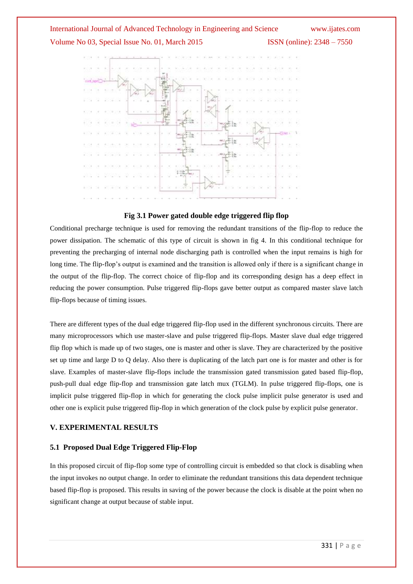

### **Fig 3.1 Power gated double edge triggered flip flop**

Conditional precharge technique is used for removing the redundant transitions of the flip-flop to reduce the power dissipation. The schematic of this type of circuit is shown in fig 4. In this conditional technique for preventing the precharging of internal node discharging path is controlled when the input remains is high for long time. The flip-flop's output is examined and the transition is allowed only if there is a significant change in the output of the flip-flop. The correct choice of flip-flop and its corresponding design has a deep effect in reducing the power consumption. Pulse triggered flip-flops gave better output as compared master slave latch flip-flops because of timing issues.

There are different types of the dual edge triggered flip-flop used in the different synchronous circuits. There are many microprocessors which use master-slave and pulse triggered flip-flops. Master slave dual edge triggered flip flop which is made up of two stages, one is master and other is slave. They are characterized by the positive set up time and large D to Q delay. Also there is duplicating of the latch part one is for master and other is for slave. Examples of master-slave flip-flops include the transmission gated transmission gated based flip-flop, push-pull dual edge flip-flop and transmission gate latch mux (TGLM). In pulse triggered flip-flops, one is implicit pulse triggered flip-flop in which for generating the clock pulse implicit pulse generator is used and other one is explicit pulse triggered flip-flop in which generation of the clock pulse by explicit pulse generator.

### **V. EXPERIMENTAL RESULTS**

### **5.1 Proposed Dual Edge Triggered Flip-Flop**

In this proposed circuit of flip-flop some type of controlling circuit is embedded so that clock is disabling when the input invokes no output change. In order to eliminate the redundant transitions this data dependent technique based flip-flop is proposed. This results in saving of the power because the clock is disable at the point when no significant change at output because of stable input.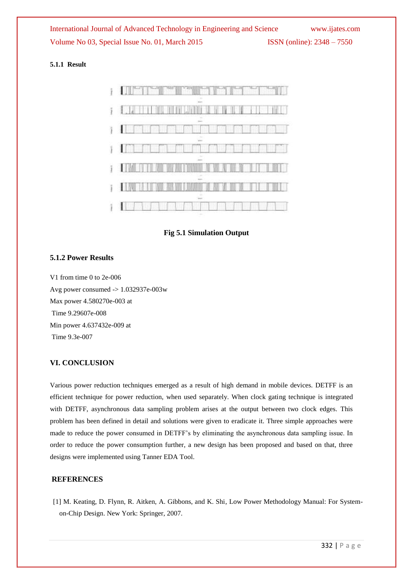### **5.1.1 Result**



**Fig 5.1 Simulation Output**

### **5.1.2 Power Results**

V1 from time 0 to 2e-006 Avg power consumed -> 1.032937e-003w Max power 4.580270e-003 at Time 9.29607e-008 Min power 4.637432e-009 at Time 9.3e-007

### **VI. CONCLUSION**

Various power reduction techniques emerged as a result of high demand in mobile devices. DETFF is an efficient technique for power reduction, when used separately. When clock gating technique is integrated with DETFF, asynchronous data sampling problem arises at the output between two clock edges. This problem has been defined in detail and solutions were given to eradicate it. Three simple approaches were made to reduce the power consumed in DETFF's by eliminating the asynchronous data sampling issue. In order to reduce the power consumption further, a new design has been proposed and based on that, three designs were implemented using Tanner EDA Tool.

### **REFERENCES**

[1] M. Keating, D. Flynn, R. Aitken, A. Gibbons, and K. Shi, Low Power Methodology Manual: For Systemon-Chip Design. New York: Springer, 2007.